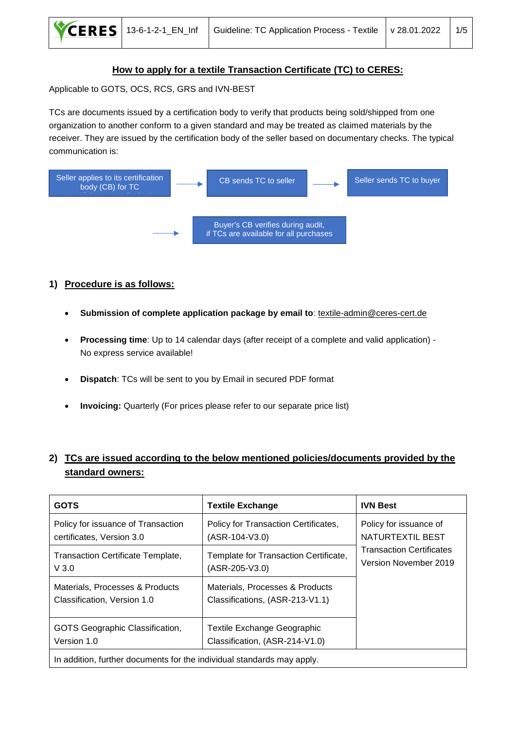

#### **How to apply for a textile Transaction Certificate (TC) to CERES:**

Applicable to GOTS, OCS, RCS, GRS and IVN-BEST

TCs are documents issued by a certification body to verify that products being sold/shipped from one organization to another conform to a given standard and may be treated as claimed materials by the receiver. They are issued by the certification body of the seller based on documentary checks. The typical communication is:



#### **1) Procedure is as follows:**

- **Submission of complete application package by email to**: [textile-admin@ceres-cert.de](mailto:textile-admin@ceres-cert.de)
- **Processing time**: Up to 14 calendar days (after receipt of a complete and valid application) No express service available!
- **Dispatch**: TCs will be sent to you by Email in secured PDF format
- **Invoicing:** Quarterly (For prices please refer to our separate price list)

# **2) TCs are issued according to the below mentioned policies/documents provided by the standard owners:**

| <b>GOTS</b>                                                            | <b>Textile Exchange</b>                                            | <b>IVN Best</b>                                          |  |
|------------------------------------------------------------------------|--------------------------------------------------------------------|----------------------------------------------------------|--|
| Policy for issuance of Transaction<br>certificates, Version 3.0        | Policy for Transaction Certificates,<br>(ASR-104-V3.0)             | Policy for issuance of<br>NATURTEXTIL BEST               |  |
| <b>Transaction Certificate Template,</b><br>V3.0                       | Template for Transaction Certificate,<br>(ASR-205-V3.0)            | <b>Transaction Certificates</b><br>Version November 2019 |  |
| Materials, Processes & Products<br>Classification, Version 1.0         | Materials, Processes & Products<br>Classifications, (ASR-213-V1.1) |                                                          |  |
| GOTS Geographic Classification,<br>Version 1.0                         | Textile Exchange Geographic<br>Classification, (ASR-214-V1.0)      |                                                          |  |
| In addition, further documents for the individual standards may apply. |                                                                    |                                                          |  |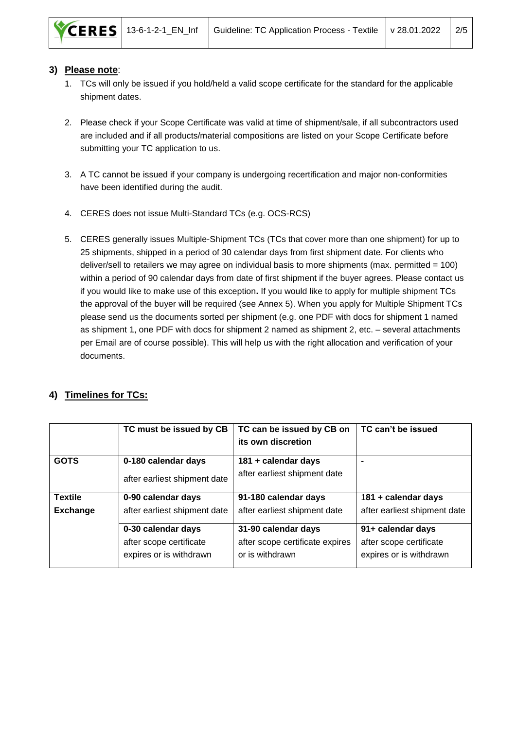

#### **3) Please note**:

- 1. TCs will only be issued if you hold/held a valid scope certificate for the standard for the applicable shipment dates.
- 2. Please check if your Scope Certificate was valid at time of shipment/sale, if all subcontractors used are included and if all products/material compositions are listed on your Scope Certificate before submitting your TC application to us.
- 3. A TC cannot be issued if your company is undergoing recertification and major non-conformities have been identified during the audit.
- 4. CERES does not issue Multi-Standard TCs (e.g. OCS-RCS)
- 5. CERES generally issues Multiple-Shipment TCs (TCs that cover more than one shipment) for up to 25 shipments, shipped in a period of 30 calendar days from first shipment date. For clients who deliver/sell to retailers we may agree on individual basis to more shipments (max. permitted  $= 100$ ) within a period of 90 calendar days from date of first shipment if the buyer agrees. Please contact us if you would like to make use of this exception**.** If you would like to apply for multiple shipment TCs the approval of the buyer will be required (see Annex 5). When you apply for Multiple Shipment TCs please send us the documents sorted per shipment (e.g. one PDF with docs for shipment 1 named as shipment 1, one PDF with docs for shipment 2 named as shipment 2, etc. – several attachments per Email are of course possible). This will help us with the right allocation and verification of your documents.

## **4) Timelines for TCs:**

|                 | TC must be issued by CB      | TC can be issued by CB on       | TC can't be issued           |
|-----------------|------------------------------|---------------------------------|------------------------------|
|                 |                              | its own discretion              |                              |
| <b>GOTS</b>     | 0-180 calendar days          | 181 + calendar days             |                              |
|                 | after earliest shipment date | after earliest shipment date    |                              |
| <b>Textile</b>  | 0-90 calendar days           | 91-180 calendar days            | 181 + calendar days          |
| <b>Exchange</b> | after earliest shipment date | after earliest shipment date    | after earliest shipment date |
|                 | 0-30 calendar days           | 31-90 calendar days             | 91+ calendar days            |
|                 | after scope certificate      | after scope certificate expires | after scope certificate      |
|                 | expires or is withdrawn      | or is withdrawn                 | expires or is withdrawn      |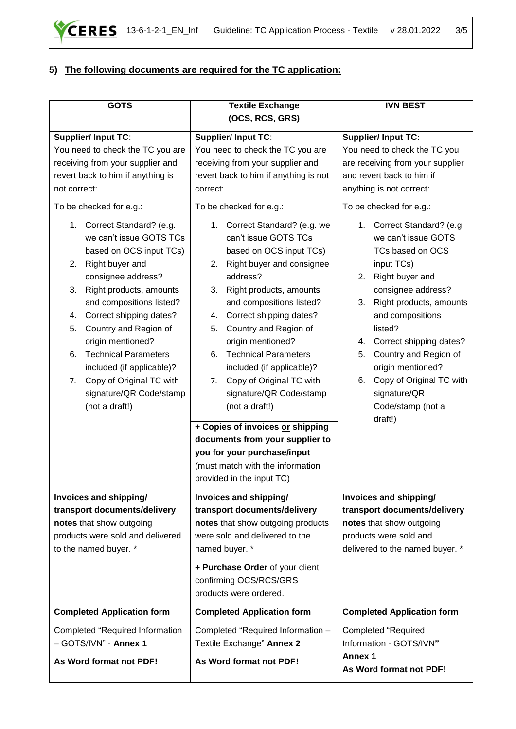

# **5) The following documents are required for the TC application:**

| <b>GOTS</b>                                                                                                                                                                                                                                                                                                                                                                                                                                                                                                                                                                                                                | <b>Textile Exchange</b>                                                                                                                                                                                                                                                                                                                                                                                                                                                                                                                                                                                                                                                                                                                                                           | <b>IVN BEST</b>                                                                                                                                                                                                                                                                                                                                                                                                                                                                                                                                                |
|----------------------------------------------------------------------------------------------------------------------------------------------------------------------------------------------------------------------------------------------------------------------------------------------------------------------------------------------------------------------------------------------------------------------------------------------------------------------------------------------------------------------------------------------------------------------------------------------------------------------------|-----------------------------------------------------------------------------------------------------------------------------------------------------------------------------------------------------------------------------------------------------------------------------------------------------------------------------------------------------------------------------------------------------------------------------------------------------------------------------------------------------------------------------------------------------------------------------------------------------------------------------------------------------------------------------------------------------------------------------------------------------------------------------------|----------------------------------------------------------------------------------------------------------------------------------------------------------------------------------------------------------------------------------------------------------------------------------------------------------------------------------------------------------------------------------------------------------------------------------------------------------------------------------------------------------------------------------------------------------------|
| <b>Supplier/Input TC:</b><br>You need to check the TC you are<br>receiving from your supplier and<br>revert back to him if anything is<br>not correct:<br>To be checked for e.g.:<br>Correct Standard? (e.g.<br>1.<br>we can't issue GOTS TCs<br>based on OCS input TCs)<br>Right buyer and<br>2.<br>consignee address?<br>3.<br>Right products, amounts<br>and compositions listed?<br>Correct shipping dates?<br>4.<br>5.<br>Country and Region of<br>origin mentioned?<br><b>Technical Parameters</b><br>6.<br>included (if applicable)?<br>Copy of Original TC with<br>7.<br>signature/QR Code/stamp<br>(not a draft!) | (OCS, RCS, GRS)<br><b>Supplier/Input TC:</b><br>You need to check the TC you are<br>receiving from your supplier and<br>revert back to him if anything is not<br>correct:<br>To be checked for e.g.:<br>1. Correct Standard? (e.g. we<br>can't issue GOTS TCs<br>based on OCS input TCs)<br>2. Right buyer and consignee<br>address?<br>Right products, amounts<br>3.<br>and compositions listed?<br>Correct shipping dates?<br>4.<br>Country and Region of<br>5.<br>origin mentioned?<br><b>Technical Parameters</b><br>6.<br>included (if applicable)?<br>Copy of Original TC with<br>7.<br>signature/QR Code/stamp<br>(not a draft!)<br>+ Copies of invoices or shipping<br>documents from your supplier to<br>you for your purchase/input<br>(must match with the information | <b>Supplier/Input TC:</b><br>You need to check the TC you<br>are receiving from your supplier<br>and revert back to him if<br>anything is not correct:<br>To be checked for e.g.:<br>1. Correct Standard? (e.g.<br>we can't issue GOTS<br>TCs based on OCS<br>input TCs)<br>Right buyer and<br>2.<br>consignee address?<br>Right products, amounts<br>3.<br>and compositions<br>listed?<br>Correct shipping dates?<br>4.<br>Country and Region of<br>5.<br>origin mentioned?<br>Copy of Original TC with<br>6.<br>signature/QR<br>Code/stamp (not a<br>draft!) |
|                                                                                                                                                                                                                                                                                                                                                                                                                                                                                                                                                                                                                            | provided in the input TC)                                                                                                                                                                                                                                                                                                                                                                                                                                                                                                                                                                                                                                                                                                                                                         |                                                                                                                                                                                                                                                                                                                                                                                                                                                                                                                                                                |
| Invoices and shipping/<br>transport documents/delivery<br>notes that show outgoing<br>products were sold and delivered<br>to the named buyer. *                                                                                                                                                                                                                                                                                                                                                                                                                                                                            | Invoices and shipping/<br>transport documents/delivery<br>notes that show outgoing products<br>were sold and delivered to the<br>named buyer. *<br>+ Purchase Order of your client<br>confirming OCS/RCS/GRS<br>products were ordered.                                                                                                                                                                                                                                                                                                                                                                                                                                                                                                                                            | Invoices and shipping/<br>transport documents/delivery<br>notes that show outgoing<br>products were sold and<br>delivered to the named buyer. *                                                                                                                                                                                                                                                                                                                                                                                                                |
| <b>Completed Application form</b>                                                                                                                                                                                                                                                                                                                                                                                                                                                                                                                                                                                          | <b>Completed Application form</b>                                                                                                                                                                                                                                                                                                                                                                                                                                                                                                                                                                                                                                                                                                                                                 | <b>Completed Application form</b>                                                                                                                                                                                                                                                                                                                                                                                                                                                                                                                              |
| Completed "Required Information<br>- GOTS/IVN" - Annex 1<br>As Word format not PDF!                                                                                                                                                                                                                                                                                                                                                                                                                                                                                                                                        | Completed "Required Information -<br>Textile Exchange" Annex 2<br>As Word format not PDF!                                                                                                                                                                                                                                                                                                                                                                                                                                                                                                                                                                                                                                                                                         | <b>Completed "Required</b><br>Information - GOTS/IVN"<br><b>Annex 1</b><br>As Word format not PDF!                                                                                                                                                                                                                                                                                                                                                                                                                                                             |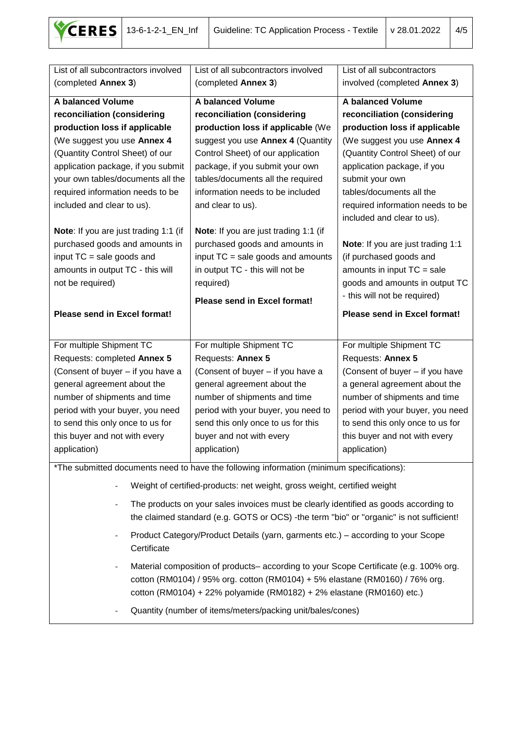

| List of all subcontractors involved                                                   | List of all subcontractors involved                                                                                                                                             | List of all subcontractors        |  |
|---------------------------------------------------------------------------------------|---------------------------------------------------------------------------------------------------------------------------------------------------------------------------------|-----------------------------------|--|
| (completed Annex 3)                                                                   | (completed Annex 3)                                                                                                                                                             | involved (completed Annex 3)      |  |
| A balanced Volume                                                                     | A balanced Volume                                                                                                                                                               | A balanced Volume                 |  |
| reconciliation (considering                                                           | reconciliation (considering                                                                                                                                                     | reconciliation (considering       |  |
| production loss if applicable                                                         | production loss if applicable (We                                                                                                                                               | production loss if applicable     |  |
| (We suggest you use Annex 4                                                           | suggest you use Annex 4 (Quantity                                                                                                                                               | (We suggest you use Annex 4       |  |
| (Quantity Control Sheet) of our                                                       | Control Sheet) of our application                                                                                                                                               | (Quantity Control Sheet) of our   |  |
| application package, if you submit                                                    | package, if you submit your own                                                                                                                                                 | application package, if you       |  |
| your own tables/documents all the                                                     | tables/documents all the required                                                                                                                                               | submit your own                   |  |
| required information needs to be                                                      | information needs to be included                                                                                                                                                | tables/documents all the          |  |
| included and clear to us).                                                            | and clear to us).                                                                                                                                                               | required information needs to be  |  |
|                                                                                       |                                                                                                                                                                                 | included and clear to us).        |  |
| Note: If you are just trading 1:1 (if                                                 | Note: If you are just trading 1:1 (if                                                                                                                                           |                                   |  |
| purchased goods and amounts in                                                        | purchased goods and amounts in                                                                                                                                                  | Note: If you are just trading 1:1 |  |
| input TC = sale goods and                                                             | input TC = sale goods and amounts                                                                                                                                               | (if purchased goods and           |  |
| amounts in output TC - this will                                                      | in output TC - this will not be                                                                                                                                                 | amounts in input $TC = sale$      |  |
| not be required)                                                                      | required)                                                                                                                                                                       | goods and amounts in output TC    |  |
|                                                                                       | Please send in Excel format!                                                                                                                                                    | - this will not be required)      |  |
| Please send in Excel format!                                                          |                                                                                                                                                                                 | Please send in Excel format!      |  |
|                                                                                       |                                                                                                                                                                                 |                                   |  |
| For multiple Shipment TC                                                              | For multiple Shipment TC                                                                                                                                                        | For multiple Shipment TC          |  |
| Requests: completed Annex 5                                                           | Requests: Annex 5                                                                                                                                                               | Requests: Annex 5                 |  |
| (Consent of buyer - if you have a                                                     | (Consent of buyer - if you have a                                                                                                                                               | (Consent of buyer - if you have   |  |
| general agreement about the                                                           | general agreement about the                                                                                                                                                     | a general agreement about the     |  |
| number of shipments and time                                                          | number of shipments and time                                                                                                                                                    | number of shipments and time      |  |
| period with your buyer, you need                                                      | period with your buyer, you need to                                                                                                                                             | period with your buyer, you need  |  |
| to send this only once to us for                                                      | send this only once to us for this                                                                                                                                              | to send this only once to us for  |  |
| this buyer and not with every                                                         | buyer and not with every                                                                                                                                                        | this buyer and not with every     |  |
| application)                                                                          | application)                                                                                                                                                                    | application)                      |  |
|                                                                                       | *The submitted documents need to have the following information (minimum specifications):                                                                                       |                                   |  |
|                                                                                       | Weight of certified-products: net weight, gross weight, certified weight                                                                                                        |                                   |  |
|                                                                                       |                                                                                                                                                                                 |                                   |  |
|                                                                                       | The products on your sales invoices must be clearly identified as goods according to<br>the claimed standard (e.g. GOTS or OCS) -the term "bio" or "organic" is not sufficient! |                                   |  |
|                                                                                       | Product Category/Product Details (yarn, garments etc.) – according to your Scope                                                                                                |                                   |  |
| Certificate                                                                           |                                                                                                                                                                                 |                                   |  |
| Material composition of products– according to your Scope Certificate (e.g. 100% org. |                                                                                                                                                                                 |                                   |  |
| cotton (RM0104) / 95% org. cotton (RM0104) + 5% elastane (RM0160) / 76% org.          |                                                                                                                                                                                 |                                   |  |
| cotton (RM0104) + 22% polyamide (RM0182) + 2% elastane (RM0160) etc.)                 |                                                                                                                                                                                 |                                   |  |
| Quantity (number of items/meters/packing unit/bales/cones)                            |                                                                                                                                                                                 |                                   |  |
|                                                                                       |                                                                                                                                                                                 |                                   |  |